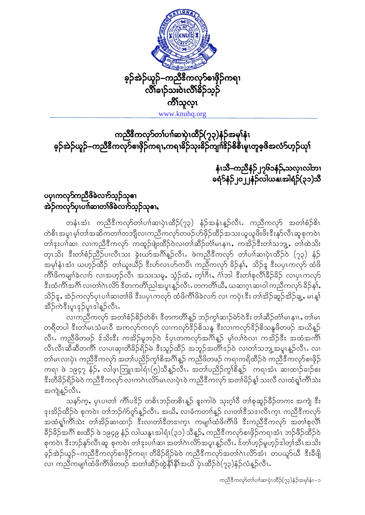

## ကညီ<sup>8</sup>ကလု<mark>ာ်တ</mark>ၢ်ပၢါဆၢပှဲ၊ထိဉ်(၇၃)နံဉ်အမှါနံ၊ ခ့ဉ်အဲဉ်ယူဉ်–ကညီဒီကလု>်စၢဖိုဉ်ကရၢႇကရၢခိဉ်သုးခိဉ်ကျၢၗ်ဒိုဉ်စိစီ၊မူၤတူစ့ဖိအလံ>်ဟ္ဉ်ယုၫ်

နံၤသီ–ကညီနံဉ်၂၇၆၁နံဉ်,သလ္ၤလါဘၢ ခရံ>်နံဉ်၂၀၂၂နံဉ်လါယနှုအါရံဉ်(၃၁)သီ

## ပၦၤကလု<mark>ၥ</mark>်ကညီဖိခဲလၢာ်သူဉ်သုဓၢ အဲဉ်ကလု**်ပှ၊ပၢါဆၢတၢ်ဖိခဲလၢာ်သူ**ဉ်သု**ဓၢ**,

တနံၤအံၤ ကညီဒီကလုာ်တၢ်ပၢါဆၢပှဲၤထိဉ်(၇၃) နံဉ်အနံၤန္ဉာ်လီၤႉ ကညီကလုာ် အတၢ်စံဉ်စိၤ တဲစိၤအပူၤမ့္ပ်ာက်အဆိကတၢ)တဘျီလၢကညီကလု>်တဖဉ်ဟ်ဖှိဉ်ထိဉ်အသးယူယူဖိးဖိးဒီးနု>်လီၤဆူစုကဝဲၤ တါဒုးပၢါဆ၊ လၢကညီဒီကလုာ် ကထူဉ်ဖျံးထိဉ်ဝဲလ၊တါဆိဉ်တံါမၤနၢၤ,ကအိဉ်ဒီးတါသဘျ့,တါထဲသိး တုၤသိး ဒီးတၢ်စံဉ်ညီဉ်ပၢလိၤသး ခွဲးယာ်အဂိၢိန္နာ်လီၤ. ဖဲကညီဒီကလုာ် တၢ်ပၢါဆၢပှဲၤထိဉ်ဝဲ (၇၃) နံဉ် အမု)နံးအံၤ ယဟုဉ်ထိဉ် ့က်ယူးယီဉ် ဒီးဟ်လၤဟ်ကပီၤ ကညီကလုာ် ခိဉ်န $\mathfrak f, \;$  သိဉ် $_{\mathfrak T}$  ဒီးပပ္ၤကလုာ် ထံဖိ ကိ်္ဂါဖိကမျာၤ်ခဲလၢာ် လၢအဟုဉ်လီၤ အသးသမူ, သွံဉ်ထံ, က့<sup>ုံဂြို</sup>, ဂၢ်ဘါ ဒီးတၢ်စုလိ<sup>ု</sup>ခ်ိဉ်ခိဉ် လၢပုၤကလုာ် းိထံကိၢိအဂိၢ် လ၊တၢ်ဂဲၤလိ>် ဒီတကတိၢ်ညါအပူၤန္ ဉ်လီၤႉတကတိၢ်ယိႇ ယဆၢဂၤဆၢဝါ ကညီကလု>် ခိဉ်န<sup>ှ</sup>်ာ သိဉ်န္ , အဲဉ်ကလုာ်ပှၤပၢါဆၢတၢ်ဖိ ဒီးပပှၤကလုာ် ထံဖိကိၢ်ဖိခဲလၢာ် လၢ ကပှဲၤဒီး တၢ်အိဉ်ဆူဉ်အိဉ်ချ့ , မၤန္န၊် အိဉ်ကဲဒီးပူးဒုဉ်ပူးဒါန္ဉာလီး.

လၤက်ညီကလို အတၢ်စံဉ်စိဉ်တဲစိၤ ဒီတကတိၢိန္ဉာ် ဘဉ်ကွၢ်ဆၢဉ်မဲာ်ဝဲဒီး တၢ်ဆိဉ်တံ၊်မၤနၢၤ,တၢ်မၤ တရီတပါ ဒီးတၢ်မၤသံမၤဝီ အကလှာ်ကလှာ် လၢကလှာ်ဒိဉ်စိသနူ ဒီးလၢကလှာ်ဒိဉ်စိသနူဖိတဖဉ် အယိန္နဉ် လီၤႉ ကညီဖိတဖဉ် ဒ်သိးဒီး ကအိဉ်မူဘဉ်ဝဲ ဒ်ပုၤတကလှာ်အဂိၢ်နူဉ် မှၢ်လၢ်ဝဲလၢ ကအိဉ်ဒီး အထံအကိၢ် လီၤလီၤဆီဆီတကီ၊် လၢပၢဆု၊တီခိဉ်ရိဉ်မဲ ဒီးသူဉ်ထိဉ် အဘူဉ်အတိ၊်ဒဉ်ဝဲ လၢတၢ်သဘျ့အပူၤန္ဉာလီၤ**.** လၢ တါမၤလၢပှဲၤ ကညီဒီကလုာ် အတၤ်ပညိဉ်ကွၢ်စိအဂ်ိၢနှဉ် ကညီဖိတဖဉ် ကရၢကရိထိဉ်ဝဲ ကညီဒီကလုာ်စၢဖိုဉ် ကရ၊ ဖဲ ၁၉၄၇ နံဉ်, လါဖ့ၤဘြူၤအါရံၤ(၅)သိန္ဉာလီၤ. အတၤ်ပညိဉ်ကွၢ်စိန္ဉာ ကရၢအံၤ ဆၢထၢဉ်ခၢဉ်စဴး <u>ီးတီခိဉ်ရိဉ်မဲဝဲ ကညီဒီကလုာ် လၢကဂၤလိ႒်မၤလၢပုံၤဝဲ ကညီဒီကလုာ် အတၢ်မိဉ်နှ၊် သးလီ လၢထံရှု၊်ကိၢ်သဲး</u> အကျဲန္}လီၤ.

သန>်က္နႇ ပုၤပၢတၢ် က်ိၢပဒိဉ် တစိၤဘဉ်တစိၤန္ဉာ် စူးကါဝဲ သုးဂူၢ်ဝီ တၢ်စုဆူဉ်ခ်ိဉ်တကး အကျဲ ဒီး နးအိဉ်ထိဉ်ဝဲ စုကဝဲၤ တၢ်ဘဉ်က်ကုန္ဥာ်လီၤႉ အယိႇ လၢခံကတၢါန္ဥ လၢတၢ်ဒီသဒၢလီၤက္ၤ ကညီဒီကလုဉ် အထံရူ၊်ကိၢိသဲး တၢ်အိဉ်ဆ၊ထၢဉ် ဒီးလ၊တၢ်ဒီတဒ၊က္ၤ ကမျ၊ၢ်ထံဖိကိၢိဖိ ဒီးကညီဒီကလုာ် အတၢ်စုလိၢ် ခိဉ်ခိဉ်အဂိၢ် စးထိဉ် ဖဲ ၁၉၄၉ နံဉ် လါယနူၤအါရံၤ(၃၁) သိန္ဉာ်, ကညီဒီကလုာ်စၢဖှိဉ်ကရၢအံၤ ဘဉ်ဖိဉ်ထိဉ်ဝဲ စုကဝဲၤ ဒီးဘဉ်နုာ်လီၤဆူ စုကဝဲၤ တၢ်ဒုးပၢါဆၢ အတၢ်ဂဲၤလိာ်အပူၤန္ဉာ်လီၤႉ ဒ်တၢ်ဟ္ဉာ်မူဟ္ဉာ်ဒါတ္၊်အီၤအသိး ခဲ့ဉ်အဲဉ်ယူဉ်–ကညီဒီကလုာ်စၢဖိုဉ်ကရ၊ တီခိဉ်ရိဉ်မဲဝဲ ကညီဒီကလုာ်အတၢ်ဂဲၤလိ5်အဲၤ တပယူာ်ယီ ဒီးခီဖိျ လ၊ ကညီကမျ၊ာ်ထံဖိကိၢ်ဖိတဖဉ် အတၢ်ဆိဉ်ထွဲနိၢိနိၢိအယိ ပှဲၤထိဉ်ဝဲ(၇၃)နံဉ်လံန့ဉ်လီး $\cdot$ 

ကညီဒီကလုာ်တၢ်ပၢါဆၢပုံၤထိဉ်(၇၃)နံဉ်အမှါနံၤ–၁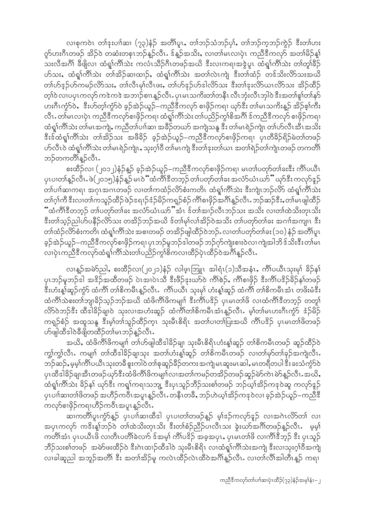လ၊စုကဝဲၤ တၢ်နးပၢါဆၢ (၇၃)နံဉ် အတိ၊်ပူၤႇ တၢ်ဘဉ်သံဘဉ်ပု၊်ႇ တၢ်ဘဉ်က္ခဘဉ်ကွဲဉ် ဒီးတ၊်ဟး က်ပားဂီၤတဖဉ် အိဉ်ဝဲ တဆံးတစုၤဘဉ်န္ဉာ်လီၤႉ ဒ်န္နာ်အသိးႇ လၢတၢ်မၤလၢပုံၤ ကညီဒီကလုာ် အတၢ်မိဉ်န္၊် သးလီအဂိၢ် ခီဖျိလ၊ ထံရှု၊်ကိၢ်သဲး ကလံၤသိဉ်ဂိၤတဖဉ်အယိ ဒီးလၢကရၢအဒွဲပူၤ ထံရှု၊်ကိၢ်သဲး တၢ်တူ၊်ခိဉ် ဟ်သး, ထံရှု၊်ကို၊်သဲး တ၊်အိဉ်ဆ၊ထၢဉ်, ထံရှု၊်ကို၊်သဲး အတ္က်လဲၤကျ ဒီးတ၊်ထံဉ် တဒ်သိးလိာ်သးအယိ တ၊်ဟ်နဉ်ဟ်ကမဉ်လိာသး, တ၊်လီၤမု၊်လီၤဖး, တ၊်ဟ်နဉ်ဟ်ဒါလိာသး ဒီးတ၊်နးလိာ်ယၤလိာသး အိဉ်ထိဉ် တ့ါ်ဝဲ လၢပပုၤကလုာ် ကဒဲကဒဲ အဘၢဉ်စၢၤန္ဉာ်လီၤႉပုၤမၤသကိႏတၢ်တနိၤ လီၤဘုံးလီၤဘုါဝဲ ဒီးအတၢ်စူၢ်တၢ်နှာ် ဟးဂီၤကွံ>်ဝဲႇ ဒီးဟ်တ့ၢ်ကွဲ>်ဝဲ ခုဉ်အဲဉ်ယူဉ်–ကညီဒီကလှာ် စၢဖိုဉ်ကရၢ ယှာ်ဒီး တၢ်မၤသကိႏနူဉ် အိဉ်စု၊်ကီး လီၤႉတၢ်မၤလၢပဲုၤ ကညီဒီကလှာ်စၢဖိုဉ်ကရၢ ထံရှု၊်ကိၢ်သဲး တၢ်ပညိဉ်ကွၢ်စိအဂိၢ် ဒ်ကညီဒီကလှာ် စၢဖိုဉ်ကရၢ ထံရှု၊်ကိၢ်သဲး တ၊်မၤအကျဲ့, ကညီတၢ်ပၢါဆ၊ အခိဉ်တယာ် အကျဲသန္ဒ ဒီး တ၊်မၤရဲဉ်ကျဲၤ တ၊်ဟ်လီၤအီၤအသိး နီးန်ထံရှု၊်ကိၢိသဲး တၢ်အိဉ်သး အဖီခိဉ် ခ့ဉ်အဲဉ်ယူဉ်–ကညီနီကလှာ်စၢဖိုဉ်ကရၢ ပုၤတီခိဉ်ရိဉ်မဲတၢ်တဖဉ် ဟ်လီၤဝဲ ထံရှု၊်ကိၢ်သဲး တါမၤရဲဉ်ကျဲၤႇ သုးဂ္ဒ္ပါဝီ တါမၤကျဲ ဒီးတၢ်ဒုးတၢ်ယၤ အတၢ်ရဲဉ်တၢ်ကျဲၤတဖဉ် တကတိၢ် ဘဉ်တကတိၢ်န္ဉာလီၤ.

စးထိဉ်လ၊ (၂၀၁၂)နံဉ်န္ဉာ် ခ့ဉ်အဲဉ်ယူဉ်–ကညီဒီကလှာ်စၢဖိုဉ်ကရ၊ မၤတၢ်ပတှာ်တ၊်ခးဒီး ကိၢ်ပယီၤ ပုၤပၢတၢ်နူဉ်လီၤႉဖဲ(၂၀၁၅)နံဉ်နူဉ် မၤ၀ဲ်ံထံကိၢိဒီတဘူဉ် တၢဴပတုာ်တာ်ခး အလံာ်ယံၤယာ်ိံ ယှာ်ဒီး ကလုာ်နဉ် တါပၢါဆၢကရ၊ အဂုၤအဂၤတဖဉ် လၢတၢ်ကထံဉ်လိ5်စံးကတိၤ ထံရှု၊်ကိၢ်သဲး ဒီးကျဲၤဘဉ်လိ5် ထံရှု၊်ကိၢ်သဲး တၢ်ဂ့ၢ်ကိ ဒီးလၢတၢ်ကသူဉ်ထိဉ်ဖဲဉ်ဒရၢဉ်ဒံဉ်မိဉ်ကရှဉ်စံဉ်ကိၢ်စၢဖှိဉ်အဂိၢန္ဉာလိၤႉဘဉ်ဆဉ်ဒီးႇတ၊်မၤဖျါထိဉ် ိံထံကိၢိဒီတဘူဉ် တ၊်ပတုာ်တ၊်ခး အလံာ်ယံၤယာ်"အံၤ ဒ်တ၊်အၢဉ်လီၤဘဉ်သး အသိး လ၊တ၊်ထဲသိးတုၤသိး ဒီးတ၊်သုဉ်ညါဟ်ပနိဉ်လိ9်သး တအိဉ်ဘဉ်အယိ ဒ်တ၊်မှ၊်လ၊်အိဉ်ဝဲအသိး တ၊်ပတှာ်တ၊်ခး အဂၢါအကျၤ ဒီး တၢ်ထံဉ်လိာ်စံးကတိၤ ထံရှၢ်ကိၢ်သဲး အစၢတဖဉ် တအိဉ်ဖျါထီဉ်ဝဲဘဉ်ႉ လၢတၢ်ပတှာ်တၢ်ခး (၁၀) နံဉ် အတိၢ်ပူၤ ခုဉ်အဲဉ်ယူဉ်–ကညီဒီကလှာ်စၢဖိုဉ်ကရၢ ပုၤဘဉ်မူဘဉ်ဒါတဖဉ်ဘဉ်ဂှာ်ကျဲးစၢးဝဲလ၊ ကျဲအါဘိ ဒ်သိးဒီးတၢ်မၤ လ၊ပုံၤကညီဒီကလုာ်ထံရှၢ်ကိၢ်သဲးတၢ်ပညှိဉ်ကွၢ်စိကလ၊ထိဉ်ပုံၤထိဉ်ဝဲအင်္ဂါနဉ်လီၤ

လၢန္ဥအမဲ႒ညါႇ စးထိဉ်လၢ(၂၀၂၁)နံဉ် လါဖူၤဘြူၤ အါရံၤ(၁)သီအနံၤႇ ကိၢိပယီၤသုးမှ၊် ခိဉ်န၊် ပုၤဘဉ်မူဘဉ်ဒါ အဒိဉ်အထိတဖဉ် ပဲၤအၢပဲၤသီ ဒီးဖိဉ်ဒုးယာ်ဝဲ ကိၢိစဉ်, ကိၢ်စၢဖိုဉ် ဒီးကိၢ်ပဒိဉ်ခိဉ်နှၤ်တဖဉ် ဒီးဟံးန္1်ဆူဉ်ကွာ် ထံကိၢိ တၢိစိကမီၤန္ဥလီၤႉ ကိၢိပယိၤ သုးမု၊် ဟံးန္1်ဆူဥ် ထံကိၢ် တၢိစိကမီၤအံၤ တဖိးမံဒီး ထံကိၢ်သဲစးတၢ်ဘျ၊ခိဉ်သူဉ်ဘဉ်အယိ ထံဖိကိၢ်ဖိကမျာ် ဒီးကိၢ်ပဒိဉ် ပုၤမၤတၢ်ဖိ လၢထံကိၢ်ဒီတဘုဉ် တတူ၊် လိ>်ဝဲဘဉ်ဒီး ထီဒါခိဉ်ချ၊ဝဲ သုးလ၊အဟံးဆူဉ် ထံကိၢိတၢ်စိကမီၤအံၤန္ဉာလီၤ. မ့္ပ်ာမၤဟးဂီၤက္ဂံာ် ဒံဉ်မိဉ် ကရူဉ်စံဉ် အထူသနူ ဒီးမ့္ပ်တ္ပါသူဉ်ထိဉ်ကူၤ သုးမီၤစိရိၤ အတ္ပ်ပၢတ္ပ်ပြးအယို က်ိဳၤပဒိဉ် ပုၤမၤတ္ပ်ဖိတဖဉ် ဟ်ဖျါထီဒါဝဲခ်ီဖျိတထိဉ်တၢ်မၤဘဉ်န္ဉာ်လီၤႉ

အယိႇ ထံဖိကိၢ်ဖိကမျာ် တ၊်ဟ်ဖျါထီဒါခိဉ်ချ၊ သုးမီၤစိရိၤဟံးန့ာ်ဆူဉ် တၢိစိကမီၤတဖဉ် ဆူဉ်ထိဉ်ဝဲ ကျွှဲကျွှဲလီၤႉ ကမျုၢ် တၢ်ထိဒါခိဉ်ချ၊သုး အတၢ်ဟံးန္၊်ဆူဉ် တၢ်စိကမိၤတဖဉ် လၢတၢ်မှာ်တၢ်ခုဉ်အကျဲလီၤႉ ဘဉ်ဆဉ်, မှမ့ါကိါပယိၤသုးတခ်ိ စူးကါဝဲတၢ်စုဆူဉ်ခ်ိဉ်တကး အကျဲမၤဆူးမၤဆါ, မၤတရီတပါ ဒီး ခးသံကွံာ်ဝဲ ပုၤထီဒါခိဉ်ချ၊အီၤတဖဉ်ယှာ်ဒီးထံဖိကိၢိဖိကမျှၢါလ၊အတၢ်ကမဉ်တအိဉ်တဖဉ်ဆူဉ်မဲာ်ကဲၤမဲာ်နူဉ်လီၤႉအယိႇ ထံရှၢ်ကိၢ်သဲး ခိဉ်နှ၊် ယှာ်ဒီး ကရှၢ်ကရၢသဘျ့ ဒီးပုၤသူဉ်ဘိဉ်သးစၢ်တဖဉ် ဘဉ်ယှၢ်အိဉ်ကဒုဝဲဆူ ကလုာ်ဒူဉ် ပုၤပၢါဆၢတၢ်ဖိတဖဉ် အဟိဉ်ကဝီၤအပူၤန္ဉာလီၤႉတနီၤတခ်ိႇ ဘဉ်ဟဲယ့ၢ်အိဉ်ကဒုဝဲလၢ ခူဉ်အဲဉ်ယူဉ်–ကညီဒီ ကလုာ်စၢဖိုဉ်ကရၢဟိဉ်ကဝီၤအပူၤန္ဉာလီၤႉ

ဆၢကတိၢိပူၤကွႆာ်န္ဉွာ် ပုၤပၢါဆၢထီဒါ ပုၤပၢတၢ်တဖဉ်န္ဉွာ် မူၢ်ဒ္ဉာကလှာ်နှဉ် လၢအဂဲၤလိာ်တၢ် လၢ အပုၤကလုာ် ကဒိးန္1်ဘဉ်ဝဲ တၤ်ထဲသိးတုၤသိး ဒီးတၢ်စံဉ်ညီဉ်ပၢလီၤသး ခွဲးယာ်အင်္ဂါတဖဉ်န္ဉာလီၤ မွမ့္ပါ ကတိၢ်အံၤ ပုၤပယီၤဖိ လၢတိၤပတိၢ်ခဲလၢာ် ဒ်အမှ၊် ကိၢဴပဒိဉ် အခုအပုၤႇ ပုၤမၤတၢ်ဖိ လၢကိၢ်ဒီဘုဉ် ဒီး ပုၤသူဉ် ဘိဉ်သးစၢ်တဖဉ် အမဲာ်ဖးထိဉ်ဝဲ ဒီးဂဲၤထၢဉ်ထီဒါဝဲ သုံးမီၤစိရိၤ လၢထံရှု၊်ကိၢ်သဲးအကျဲ ဒီးလၢသုံးဂူၢ်ဝီအကျဲ လ၊ခါဆူညါ အဘူဉ်အတိ၊် ဒီး အတၢ်အိဉ်မူ ကလဲၤထိဉ်လဲၤထိဝဲအဂိၢိန္ဉ်လီၤႉ လ၊တၢ်လိၢ်အါတီၤန္ဉာ် ကရ၊